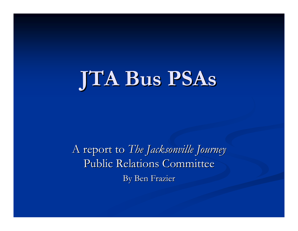

A report to *The Jacksonville Journey* Public Relations Committee By Ben Frazier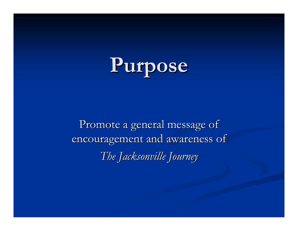

Promote a general message of encouragement and awareness of *The Jacksonville Journey The Jacksonville Journey*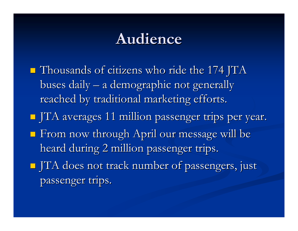## **Audience Audience**

 $\blacksquare$  Thousands of citizens who ride the 174 JTA buses daily – a demographic not generally reached by traditional marketing efforts. JTA averages 11 million passenger trips per year. JTA averages 11 million passenger trips per year.  $\blacksquare$  From now through April our message will be heard during 2 million passenger trips.  $\blacksquare$  JTA does not track number of passengers, just passenger trips.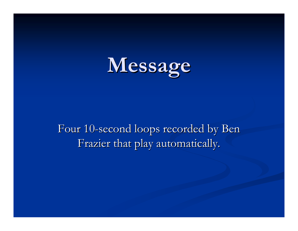

Four 10-second loops recorded by Ben Frazier that play automatically.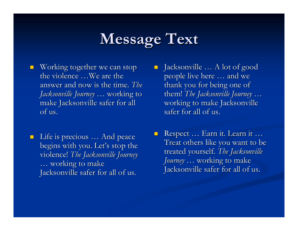## **Message Text Message Text**

 $\blacksquare$  Working together we can stop the violence ...We are the answer and now is the time. *The Jacksonville Journey Jacksonville Journey* … working to working to make Jacksonville safer for all of us.

 $\blacksquare$  Life is precious  $\ldots$  And peace begins with you. Let's stop the violence! The *Jacksonville Journey*  $\ldots$  working to make Jacksonville safer for all of us.

 $\blacksquare$  Jacksonville  $\ldots$  A lot of good people live here … and we thank you for being one of them! *The Jacksonville Journey ...* working to make Jacksonville  $\sqrt{\frac{1}{100}}$  safer for all of us.

 $\blacksquare$  $\blacksquare$  Respect ... Earn it. Learn it ... Treat others like you want to be treated yourself. The Jacksonville *Journey* ... working to make Jacksonville safer for all of us.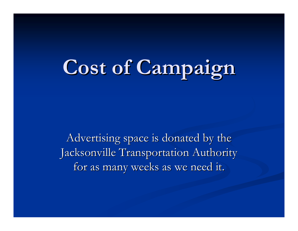## **Cost of Campaign Cost of Campaign**

Advertising space is donated by the Jacksonville Transportation Authority for as many weeks as we need it.